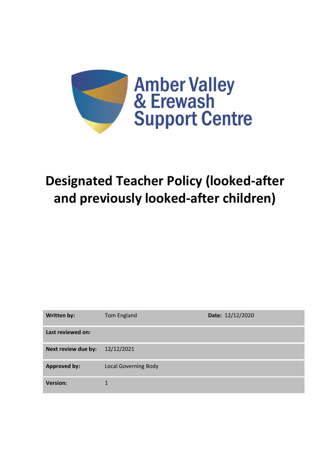

# **Designated Teacher Policy (looked-after and previously looked-after children)**

| Written by:         | <b>Tom England</b>          | Date: 12/12/2020 |
|---------------------|-----------------------------|------------------|
| Last reviewed on:   |                             |                  |
| Next review due by: | 12/12/2021                  |                  |
| <b>Approved by:</b> | <b>Local Governing Body</b> |                  |
| <b>Version:</b>     |                             |                  |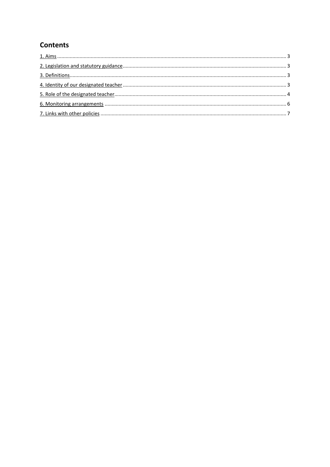# **Contents**

<span id="page-1-0"></span>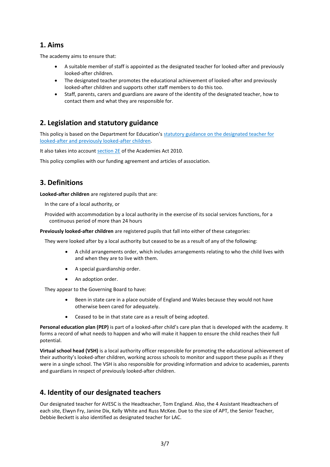## **1. Aims**

The academy aims to ensure that:

- A suitable member of staff is appointed as the designated teacher for looked-after and previously looked-after children.
- The designated teacher promotes the educational achievement of looked-after and previously looked-after children and supports other staff members to do this too.
- Staff, parents, carers and guardians are aware of the identity of the designated teacher, how to contact them and what they are responsible for.

# <span id="page-2-0"></span>**2. Legislation and statutory guidance**

This policy is based on the Department for Education's [statutory guidance on the designated teacher for](https://www.gov.uk/government/publications/designated-teacher-for-looked-after-children)  [looked-after and previously looked-after children.](https://www.gov.uk/government/publications/designated-teacher-for-looked-after-children)

It also takes into accoun[t section 2E](http://www.legislation.gov.uk/ukpga/2010/32/section/2E) of the Academies Act 2010.

This policy complies with our funding agreement and articles of association.

# <span id="page-2-1"></span>**3. Definitions**

**Looked-after children** are registered pupils that are:

In the care of a local authority, or

Provided with accommodation by a local authority in the exercise of its social services functions, for a continuous period of more than 24 hours

**Previously looked-after children** are registered pupils that fall into either of these categories:

They were looked after by a local authority but ceased to be as a result of any of the following:

- A child arrangements order, which includes arrangements relating to who the child lives with and when they are to live with them.
- A special guardianship order.
- An adoption order.

They appear to the Governing Board to have:

- Been in state care in a place outside of England and Wales because they would not have otherwise been cared for adequately.
- Ceased to be in that state care as a result of being adopted.

**Personal education plan (PEP)** is part of a looked-after child's care plan that is developed with the academy. It forms a record of what needs to happen and who will make it happen to ensure the child reaches their full potential.

**Virtual school head (VSH)** is a local authority officer responsible for promoting the educational achievement of their authority's looked-after children, working across schools to monitor and support these pupils as if they were in a single school. The VSH is also responsible for providing information and advice to academies, parents and guardians in respect of previously looked-after children.

# <span id="page-2-2"></span>**4. Identity of our designated teachers**

Our designated teacher for AVESC is the Headteacher, Tom England. Also, the 4 Assistant Headteachers of each site, Elwyn Fry, Janine Dix, Kelly White and Russ McKee. Due to the size of APT, the Senior Teacher, Debbie Beckett is also identified as designated teacher for LAC.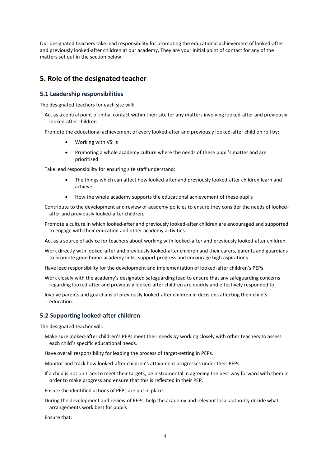Our designated teachers take lead responsibility for promoting the educational achievement of looked-after and previously looked-after children at our academy. They are your initial point of contact for any of the matters set out in the section below.

## <span id="page-3-0"></span>**5. Role of the designated teacher**

#### **5.1 Leadership responsibilities**

The designated teachers for each site will:

Act as a central point of initial contact within their site for any matters involving looked-after and previously looked-after children

Promote the educational achievement of every looked-after and previously looked-after child on roll by:

- Working with VSHs
- Promoting a whole academy culture where the needs of these pupil's matter and are prioritised

Take lead responsibility for ensuring site staff understand:

- The things which can affect how looked-after and previously looked-after children learn and achieve
- How the whole academy supports the educational achievement of these pupils

Contribute to the development and review of academy policies to ensure they consider the needs of lookedafter and previously looked-after children.

Promote a culture in which looked-after and previously looked-after children are encouraged and supported to engage with their education and other academy activities.

Act as a source of advice for teachers about working with looked-after and previously looked-after children.

Work directly with looked-after and previously looked-after children and their carers, parents and guardians to promote good home-academy links, support progress and encourage high aspirations.

Have lead responsibility for the development and implementation of looked-after children's PEPs.

Work closely with the academy's designated safeguarding lead to ensure that any safeguarding concerns regarding looked-after and previously looked-after children are quickly and effectively responded to.

Involve parents and guardians of previously looked-after children in decisions affecting their child's education.

#### **5.2 Supporting looked-after children**

The designated teacher will:

Make sure looked-after children's PEPs meet their needs by working closely with other teachers to assess each child's specific educational needs.

Have overall responsibility for leading the process of target-setting in PEPs.

Monitor and track how looked-after children's attainment progresses under their PEPs.

If a child is not on track to meet their targets, be instrumental in agreeing the best way forward with them in order to make progress and ensure that this is reflected in their PEP.

Ensure the identified actions of PEPs are put in place.

During the development and review of PEPs, help the academy and relevant local authority decide what arrangements work best for pupils

Ensure that: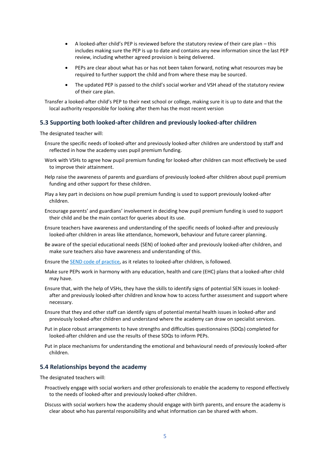- A looked-after child's PEP is reviewed before the statutory review of their care plan this includes making sure the PEP is up to date and contains any new information since the last PEP review, including whether agreed provision is being delivered.
- PEPs are clear about what has or has not been taken forward, noting what resources may be required to further support the child and from where these may be sourced.
- The updated PEP is passed to the child's social worker and VSH ahead of the statutory review of their care plan.

Transfer a looked-after child's PEP to their next school or college, making sure it is up to date and that the local authority responsible for looking after them has the most recent version

#### **5.3 Supporting both looked-after children and previously looked-after children**

The designated teacher will:

- Ensure the specific needs of looked-after and previously looked-after children are understood by staff and reflected in how the academy uses pupil premium funding.
- Work with VSHs to agree how pupil premium funding for looked-after children can most effectively be used to improve their attainment.
- Help raise the awareness of parents and guardians of previously looked-after children about pupil premium funding and other support for these children.
- Play a key part in decisions on how pupil premium funding is used to support previously looked-after children.
- Encourage parents' and guardians' involvement in deciding how pupil premium funding is used to support their child and be the main contact for queries about its use.
- Ensure teachers have awareness and understanding of the specific needs of looked-after and previously looked-after children in areas like attendance, homework, behaviour and future career planning.
- Be aware of the special educational needs (SEN) of looked-after and previously looked-after children, and make sure teachers also have awareness and understanding of this.
- Ensure th[e SEND code of practice,](https://www.gov.uk/government/publications/send-code-of-practice-0-to-25) as it relates to looked-after children, is followed.
- Make sure PEPs work in harmony with any education, health and care (EHC) plans that a looked-after child may have.
- Ensure that, with the help of VSHs, they have the skills to identify signs of potential SEN issues in lookedafter and previously looked-after children and know how to access further assessment and support where necessary.
- Ensure that they and other staff can identify signs of potential mental health issues in looked-after and previously looked-after children and understand where the academy can draw on specialist services.
- Put in place robust arrangements to have strengths and difficulties questionnaires (SDQs) completed for looked-after children and use the results of these SDQs to inform PEPs.
- Put in place mechanisms for understanding the emotional and behavioural needs of previously looked-after children.

#### **5.4 Relationships beyond the academy**

The designated teachers will:

- Proactively engage with social workers and other professionals to enable the academy to respond effectively to the needs of looked-after and previously looked-after children.
- Discuss with social workers how the academy should engage with birth parents, and ensure the academy is clear about who has parental responsibility and what information can be shared with whom.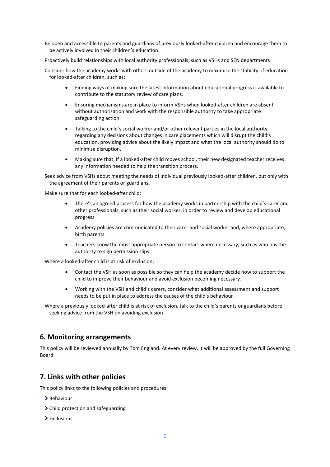Be open and accessible to parents and guardians of previously looked-after children and encourage them to be actively involved in their children's education.

Proactively build relationships with local authority professionals, such as VSHs and SEN departments.

Consider how the academy works with others outside of the academy to maximise the stability of education for looked-after children, such as:

- Finding ways of making sure the latest information about educational progress is available to contribute to the statutory review of care plans.
- Ensuring mechanisms are in place to inform VSHs when looked-after children are absent without authorisation and work with the responsible authority to take appropriate safeguarding action.
- Talking to the child's social worker and/or other relevant parties in the local authority regarding any decisions about changes in care placements which will disrupt the child's education, providing advice about the likely impact and what the local authority should do to minimise disruption.
- Making sure that, if a looked-after child moves school, their new designated teacher receives any information needed to help the transition process.

Seek advice from VSHs about meeting the needs of individual previously looked-after children, but only with the agreement of their parents or guardians.

Make sure that for each looked-after child:

- There's an agreed process for how the academy works in partnership with the child's carer and other professionals, such as their social worker, in order to review and develop educational progress
- Academy policies are communicated to their carer and social worker and, where appropriate, birth parents
- Teachers know the most appropriate person to contact where necessary, such as who has the authority to sign permission slips.

Where a looked-after child is at risk of exclusion:

- Contact the VSH as soon as possible so they can help the academy decide how to support the child to improve their behaviour and avoid exclusion becoming necessary.
- Working with the VSH and child's carers, consider what additional assessment and support needs to be put in place to address the causes of the child's behaviour.

Where a previously looked-after child is at risk of exclusion, talk to the child's parents or guardians before seeking advice from the VSH on avoiding exclusion.

## <span id="page-5-0"></span>**6. Monitoring arrangements**

This policy will be reviewed annually by Tom England. At every review, it will be approved by the full Governing Board.

## <span id="page-5-1"></span>**7. Links with other policies**

This policy links to the following policies and procedures:

- > Behaviour
- > Child protection and safeguarding
- $\sum$  Exclusions